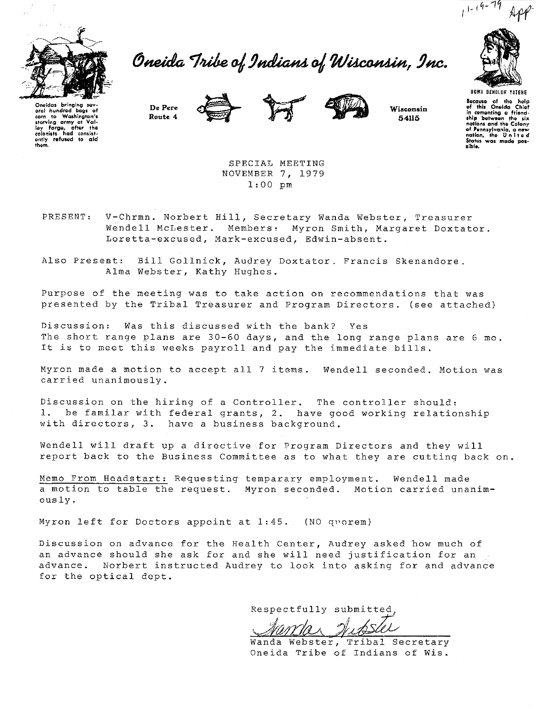Oneida Tribe of Indians of Wisconsin, Inc.









 $1 - (9 - 79)$ 

UGWA DEHOLUH YATEHE Because of the help<br>of this Oneida Chief of this Oneida Chief<br>in comenting a friend-<br>ship between the six nations and the Colony<br>of Pennsylvania, a new cf Penn1ylvanla, a new noticn, tho <sup>U</sup>n i t e <sup>d</sup> States was made pos-<br>sible.

Oneidas bringing sav-<br>oral hundred bags of<br>corn to Washington's<br>starving army at Valley Forge, after the<br>colonists had consist-<br>ently refused to aid<br>them.

> SPECIAL MEETING NOVEMBER 7, 1979 1:00 pm

PRESENT: V-Chrmn. Norbert Hill, Secretary Wanda Webster, Treasurer Wendell McLester. Members: Myron Smith, Margaret Doxtator. Loretta-excused, Mark-excused, Edwin-absent.

Also Present: Bill Gollnick, Audrey Doxtator. Francis Skenandore. Alma Webster, Kathy Hughes.

Purpose of the meeting was to take action on recommendations that was presented by the Tribal Treasurer and Program Directors. (see attached)

Discussion: Was this discussed with the bank? Yes The short range plans are 30-60 days, and the long range plans are 6 mo. It is to meet this weeks payroll and pay the immediate bills.

Myron made a motion to accept all 7 items. Wendell seconded. Motion was carried unanimously.

Discussion on the hiring of a Controller. The controller should: l. be familar with federal grants, 2. have good working relationship with directors, 3. have a business background.

Wendell will draft up a directive for Program Directors and they will report back to the Business Committee as to what they are cutting back on.

Memo From Headstart: Requesting temparary employment. Wendell made a motion to table the request. Myron seconded. Motion carried unanimously.

Myron left for Doctors appoint at 1:45. (NO quorem)

Discussion on advance for the Health Center, Audrey asked how much of an advance should she ask for and she will need justification for an advance. Norbert instructed Audrey to look into asking for and advance for the optical dept.

Respectfully submitted,

Wanda Webster, Tribal Secretary Oneida Tribe of Indians of Wis.